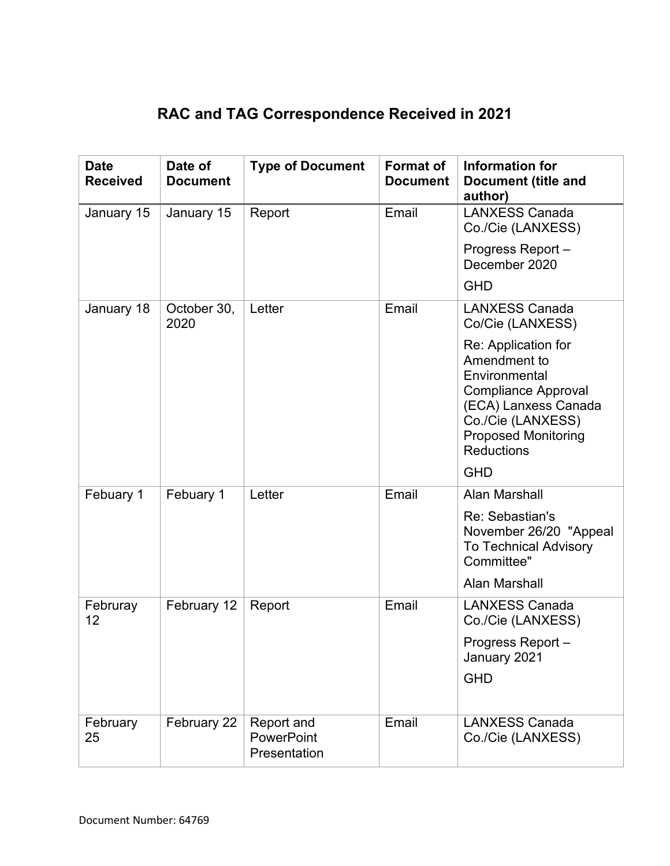## **RAC and TAG Correspondence Received in 2021**

| <b>Date</b><br><b>Received</b> | Date of<br><b>Document</b> | <b>Type of Document</b>                  | <b>Format of</b><br><b>Document</b> | Information for<br><b>Document (title and</b><br>author)                                                                                                                           |
|--------------------------------|----------------------------|------------------------------------------|-------------------------------------|------------------------------------------------------------------------------------------------------------------------------------------------------------------------------------|
| January 15                     | January 15                 | Report                                   | Email                               | <b>LANXESS Canada</b><br>Co./Cie (LANXESS)                                                                                                                                         |
|                                |                            |                                          |                                     | Progress Report -<br>December 2020                                                                                                                                                 |
|                                |                            |                                          |                                     | <b>GHD</b>                                                                                                                                                                         |
| January 18                     | October 30,<br>2020        | Letter                                   | Email                               | <b>LANXESS Canada</b><br>Co/Cie (LANXESS)                                                                                                                                          |
|                                |                            |                                          |                                     | Re: Application for<br>Amendment to<br>Environmental<br><b>Compliance Approval</b><br>(ECA) Lanxess Canada<br>Co./Cie (LANXESS)<br><b>Proposed Monitoring</b><br><b>Reductions</b> |
| Febuary 1                      | Febuary 1                  | Letter                                   | Email                               | <b>GHD</b><br>Alan Marshall                                                                                                                                                        |
|                                |                            |                                          |                                     | Re: Sebastian's<br>November 26/20 "Appeal<br><b>To Technical Advisory</b><br>Committee"<br>Alan Marshall                                                                           |
| Februray<br>12                 | February 12                | Report                                   | Email                               | <b>LANXESS Canada</b><br>Co./Cie (LANXESS)                                                                                                                                         |
|                                |                            |                                          |                                     | Progress Report-<br>January 2021<br><b>GHD</b>                                                                                                                                     |
|                                |                            |                                          |                                     |                                                                                                                                                                                    |
| February<br>25                 | February 22                | Report and<br>PowerPoint<br>Presentation | Email                               | <b>LANXESS Canada</b><br>Co./Cie (LANXESS)                                                                                                                                         |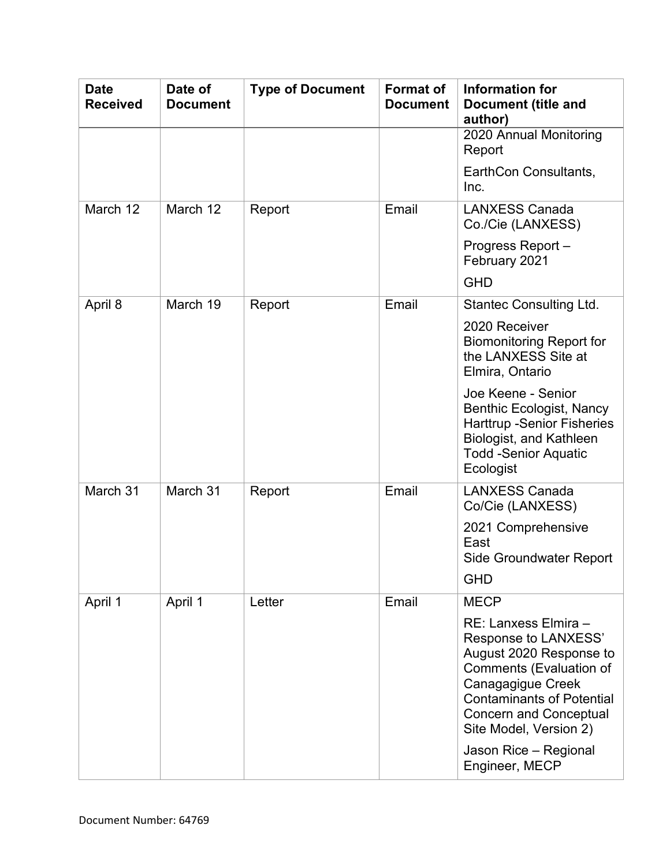| <b>Date</b><br><b>Received</b> | Date of<br><b>Document</b> | <b>Type of Document</b> | <b>Format of</b><br><b>Document</b> | Information for<br><b>Document (title and</b><br>author)                                                                                                                                                                      |
|--------------------------------|----------------------------|-------------------------|-------------------------------------|-------------------------------------------------------------------------------------------------------------------------------------------------------------------------------------------------------------------------------|
|                                |                            |                         |                                     | 2020 Annual Monitoring<br>Report                                                                                                                                                                                              |
|                                |                            |                         |                                     | EarthCon Consultants,<br>Inc.                                                                                                                                                                                                 |
| March 12                       | March 12                   | Report                  | Email                               | <b>LANXESS Canada</b><br>Co./Cie (LANXESS)                                                                                                                                                                                    |
|                                |                            |                         |                                     | Progress Report-<br>February 2021                                                                                                                                                                                             |
|                                |                            |                         |                                     | <b>GHD</b>                                                                                                                                                                                                                    |
| April 8                        | March 19                   | Report                  | Email                               | <b>Stantec Consulting Ltd.</b>                                                                                                                                                                                                |
|                                |                            |                         |                                     | 2020 Receiver<br><b>Biomonitoring Report for</b><br>the LANXESS Site at<br>Elmira, Ontario                                                                                                                                    |
|                                |                            |                         |                                     | Joe Keene - Senior<br><b>Benthic Ecologist, Nancy</b><br><b>Harttrup -Senior Fisheries</b><br>Biologist, and Kathleen<br><b>Todd -Senior Aquatic</b><br>Ecologist                                                             |
| March 31                       | March 31                   | Report                  | Email                               | <b>LANXESS Canada</b><br>Co/Cie (LANXESS)                                                                                                                                                                                     |
|                                |                            |                         |                                     | 2021 Comprehensive<br>East<br>Side Groundwater Report                                                                                                                                                                         |
|                                |                            |                         |                                     | <b>GHD</b>                                                                                                                                                                                                                    |
| April 1                        | April 1                    | Letter                  | Email                               | <b>MECP</b>                                                                                                                                                                                                                   |
|                                |                            |                         |                                     | RE: Lanxess Elmira -<br>Response to LANXESS'<br>August 2020 Response to<br><b>Comments (Evaluation of</b><br>Canagagigue Creek<br><b>Contaminants of Potential</b><br><b>Concern and Conceptual</b><br>Site Model, Version 2) |
|                                |                            |                         |                                     | Jason Rice - Regional<br>Engineer, MECP                                                                                                                                                                                       |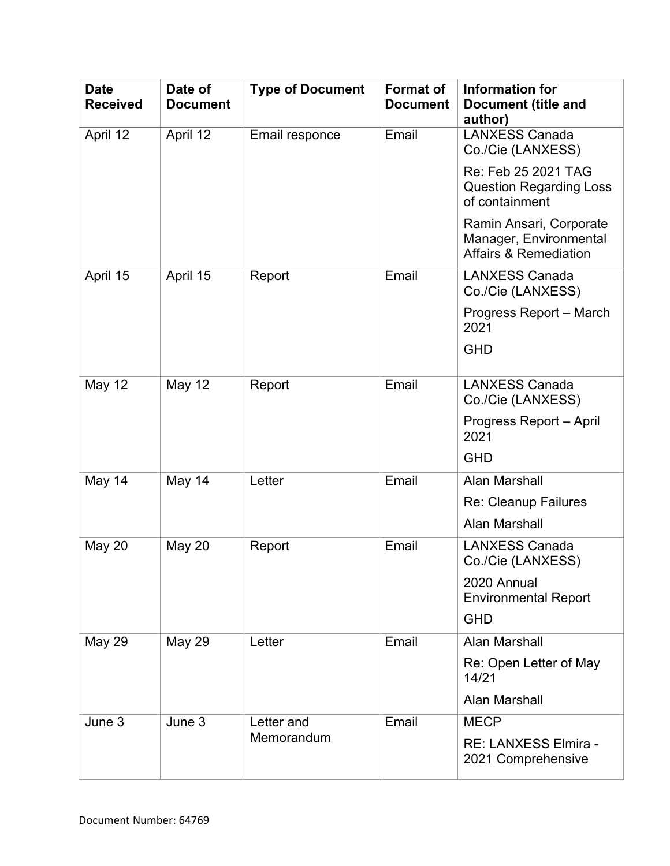| <b>Date</b><br><b>Received</b> | Date of<br><b>Document</b> | <b>Type of Document</b> | <b>Format of</b><br><b>Document</b> | Information for<br><b>Document (title and</b><br>author)                              |
|--------------------------------|----------------------------|-------------------------|-------------------------------------|---------------------------------------------------------------------------------------|
| April 12                       | April 12                   | Email responce          | Email                               | <b>LANXESS Canada</b><br>Co./Cie (LANXESS)                                            |
|                                |                            |                         |                                     | Re: Feb 25 2021 TAG<br><b>Question Regarding Loss</b><br>of containment               |
|                                |                            |                         |                                     | Ramin Ansari, Corporate<br>Manager, Environmental<br><b>Affairs &amp; Remediation</b> |
| April 15                       | April 15                   | Report                  | Email                               | <b>LANXESS Canada</b><br>Co./Cie (LANXESS)                                            |
|                                |                            |                         |                                     | Progress Report - March<br>2021                                                       |
|                                |                            |                         |                                     | <b>GHD</b>                                                                            |
| <b>May 12</b>                  | <b>May 12</b>              | Report                  | Email                               | <b>LANXESS Canada</b><br>Co./Cie (LANXESS)                                            |
|                                |                            |                         |                                     | Progress Report - April<br>2021                                                       |
|                                |                            |                         |                                     | <b>GHD</b>                                                                            |
| May 14                         | May 14                     | Letter                  | Email                               | Alan Marshall                                                                         |
|                                |                            |                         |                                     | Re: Cleanup Failures                                                                  |
|                                |                            |                         |                                     | Alan Marshall                                                                         |
| May 20                         | <b>May 20</b>              | Report                  | Email                               | <b>LANXESS Canada</b><br>Co./Cie (LANXESS)                                            |
|                                |                            |                         |                                     | 2020 Annual<br><b>Environmental Report</b>                                            |
|                                |                            |                         |                                     | <b>GHD</b>                                                                            |
| <b>May 29</b>                  | <b>May 29</b>              | Letter                  | Email                               | Alan Marshall                                                                         |
|                                |                            |                         |                                     | Re: Open Letter of May<br>14/21                                                       |
|                                |                            |                         |                                     | <b>Alan Marshall</b>                                                                  |
| June 3                         | June 3                     | Letter and              | Email                               | <b>MECP</b>                                                                           |
|                                |                            | Memorandum              |                                     | RE: LANXESS Elmira -<br>2021 Comprehensive                                            |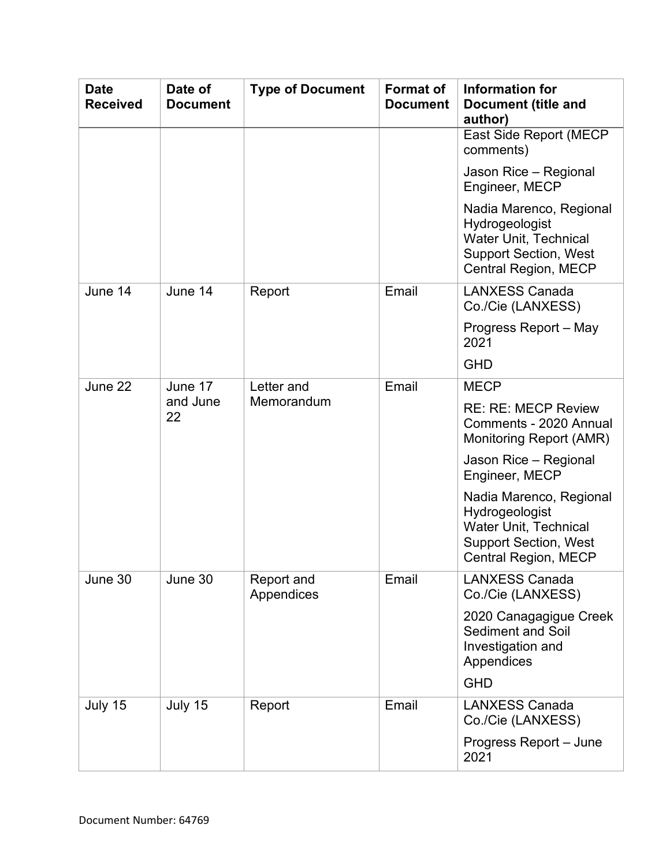| <b>Date</b><br><b>Received</b> | Date of<br><b>Document</b> | <b>Type of Document</b>  | <b>Format of</b><br><b>Document</b> | Information for<br><b>Document (title and</b><br>author)                                                                                 |
|--------------------------------|----------------------------|--------------------------|-------------------------------------|------------------------------------------------------------------------------------------------------------------------------------------|
|                                |                            |                          |                                     | <b>East Side Report (MECP</b><br>comments)                                                                                               |
|                                |                            |                          |                                     | Jason Rice - Regional<br>Engineer, MECP                                                                                                  |
|                                |                            |                          |                                     | Nadia Marenco, Regional<br>Hydrogeologist<br><b>Water Unit, Technical</b><br><b>Support Section, West</b><br><b>Central Region, MECP</b> |
| June 14                        | June 14                    | Report                   | Email                               | <b>LANXESS Canada</b><br>Co./Cie (LANXESS)                                                                                               |
|                                |                            |                          |                                     | Progress Report - May<br>2021                                                                                                            |
|                                |                            |                          |                                     | <b>GHD</b>                                                                                                                               |
| June 22                        | June 17<br>and June<br>22  | Letter and<br>Memorandum | Email                               | <b>MECP</b>                                                                                                                              |
|                                |                            |                          |                                     | <b>RE: RE: MECP Review</b><br>Comments - 2020 Annual<br>Monitoring Report (AMR)                                                          |
|                                |                            |                          |                                     | Jason Rice - Regional<br>Engineer, MECP                                                                                                  |
|                                |                            |                          |                                     | Nadia Marenco, Regional<br>Hydrogeologist<br><b>Water Unit, Technical</b><br><b>Support Section, West</b><br>Central Region, MECP        |
| June 30                        | June 30                    | Report and<br>Appendices | Email                               | <b>LANXESS Canada</b><br>Co./Cie (LANXESS)                                                                                               |
|                                |                            |                          |                                     | 2020 Canagagigue Creek<br><b>Sediment and Soil</b><br>Investigation and<br>Appendices                                                    |
|                                |                            |                          |                                     | <b>GHD</b>                                                                                                                               |
| July 15                        | July 15                    | Report                   | Email                               | <b>LANXESS Canada</b><br>Co./Cie (LANXESS)                                                                                               |
|                                |                            |                          |                                     | Progress Report - June<br>2021                                                                                                           |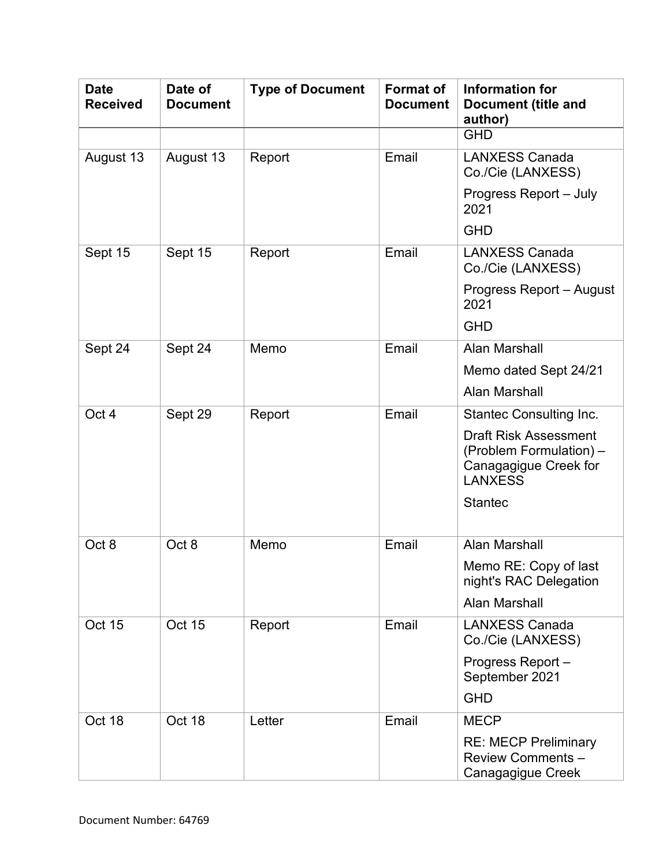| <b>Date</b><br><b>Received</b> | Date of<br><b>Document</b> | <b>Type of Document</b> | <b>Format of</b><br><b>Document</b> | Information for<br><b>Document (title and</b><br>author)                                           |
|--------------------------------|----------------------------|-------------------------|-------------------------------------|----------------------------------------------------------------------------------------------------|
|                                |                            |                         |                                     | <b>GHD</b>                                                                                         |
| August 13                      | August 13                  | Report                  | Email                               | <b>LANXESS Canada</b><br>Co./Cie (LANXESS)                                                         |
|                                |                            |                         |                                     | Progress Report - July<br>2021                                                                     |
|                                |                            |                         |                                     | <b>GHD</b>                                                                                         |
| Sept 15                        | Sept 15                    | Report                  | Email                               | <b>LANXESS Canada</b><br>Co./Cie (LANXESS)                                                         |
|                                |                            |                         |                                     | <b>Progress Report - August</b><br>2021                                                            |
|                                |                            |                         |                                     | <b>GHD</b>                                                                                         |
| Sept 24                        | Sept 24                    | Memo                    | Email                               | <b>Alan Marshall</b>                                                                               |
|                                |                            |                         |                                     | Memo dated Sept 24/21                                                                              |
|                                |                            |                         |                                     | Alan Marshall                                                                                      |
| Oct 4                          | Sept 29                    | Report                  | Email                               | <b>Stantec Consulting Inc.</b>                                                                     |
|                                |                            |                         |                                     | <b>Draft Risk Assessment</b><br>(Problem Formulation) -<br>Canagagigue Creek for<br><b>LANXESS</b> |
|                                |                            |                         |                                     | <b>Stantec</b>                                                                                     |
| Oct <sub>8</sub>               | Oct 8                      | Memo                    | Email                               | Alan Marshall                                                                                      |
|                                |                            |                         |                                     | Memo RE: Copy of last<br>night's RAC Delegation                                                    |
|                                |                            |                         |                                     | Alan Marshall                                                                                      |
| Oct 15                         | <b>Oct 15</b>              | Report                  | Email                               | <b>LANXESS Canada</b><br>Co./Cie (LANXESS)                                                         |
|                                |                            |                         |                                     | Progress Report-<br>September 2021                                                                 |
|                                |                            |                         |                                     | <b>GHD</b>                                                                                         |
| Oct 18                         | Oct 18                     | Letter                  | Email                               | <b>MECP</b>                                                                                        |
|                                |                            |                         |                                     | <b>RE: MECP Preliminary</b><br><b>Review Comments -</b><br>Canagagigue Creek                       |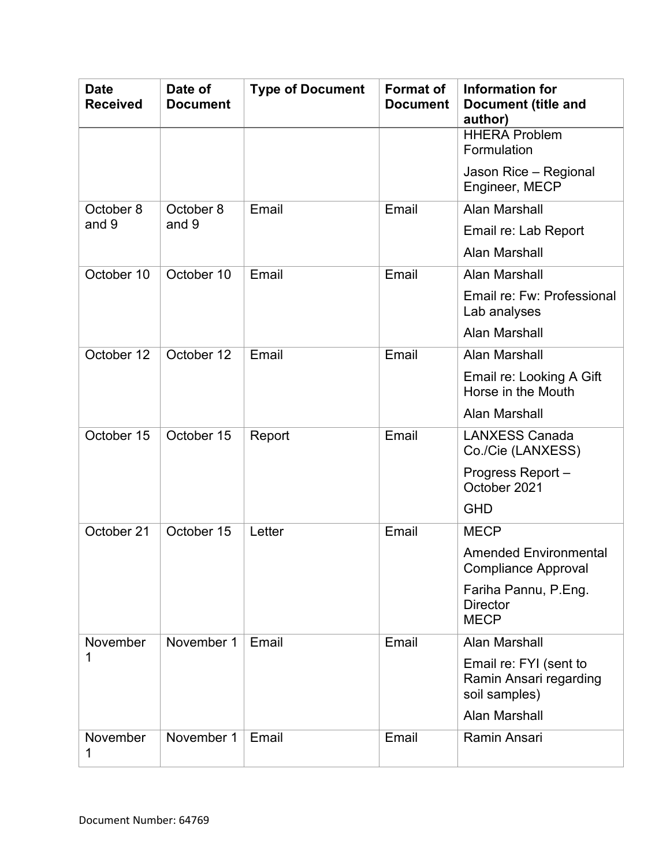| <b>Date</b><br><b>Received</b> | Date of<br><b>Document</b> | <b>Type of Document</b> | <b>Format of</b><br><b>Document</b> | Information for<br><b>Document (title and</b><br>author)          |
|--------------------------------|----------------------------|-------------------------|-------------------------------------|-------------------------------------------------------------------|
|                                |                            |                         |                                     | <b>HHERA Problem</b><br>Formulation                               |
|                                |                            |                         |                                     | Jason Rice - Regional<br>Engineer, MECP                           |
| October 8                      | October 8                  | Email                   | Email                               | Alan Marshall                                                     |
| and 9                          | and 9                      |                         |                                     | Email re: Lab Report                                              |
|                                |                            |                         |                                     | <b>Alan Marshall</b>                                              |
| October 10                     | October 10                 | Email                   | Email                               | <b>Alan Marshall</b>                                              |
|                                |                            |                         |                                     | Email re: Fw: Professional<br>Lab analyses                        |
|                                |                            |                         |                                     | <b>Alan Marshall</b>                                              |
| October 12                     | October 12                 | Email                   | Email                               | <b>Alan Marshall</b>                                              |
|                                |                            |                         |                                     | Email re: Looking A Gift<br>Horse in the Mouth                    |
|                                |                            |                         |                                     | <b>Alan Marshall</b>                                              |
| October 15                     | October 15                 | Report                  | Email                               | <b>LANXESS Canada</b><br>Co./Cie (LANXESS)                        |
|                                |                            |                         |                                     | Progress Report-<br>October 2021                                  |
|                                |                            |                         |                                     | <b>GHD</b>                                                        |
| October 21                     | October 15                 | Letter                  | Email                               | <b>MECP</b>                                                       |
|                                |                            |                         |                                     | <b>Amended Environmental</b><br><b>Compliance Approval</b>        |
|                                |                            |                         |                                     | Fariha Pannu, P.Eng.<br><b>Director</b><br><b>MECP</b>            |
| November                       | November 1                 | Email                   | Email                               | <b>Alan Marshall</b>                                              |
| 1                              |                            |                         |                                     | Email re: FYI (sent to<br>Ramin Ansari regarding<br>soil samples) |
|                                |                            |                         |                                     | <b>Alan Marshall</b>                                              |
| November<br>1                  | November 1                 | Email                   | Email                               | Ramin Ansari                                                      |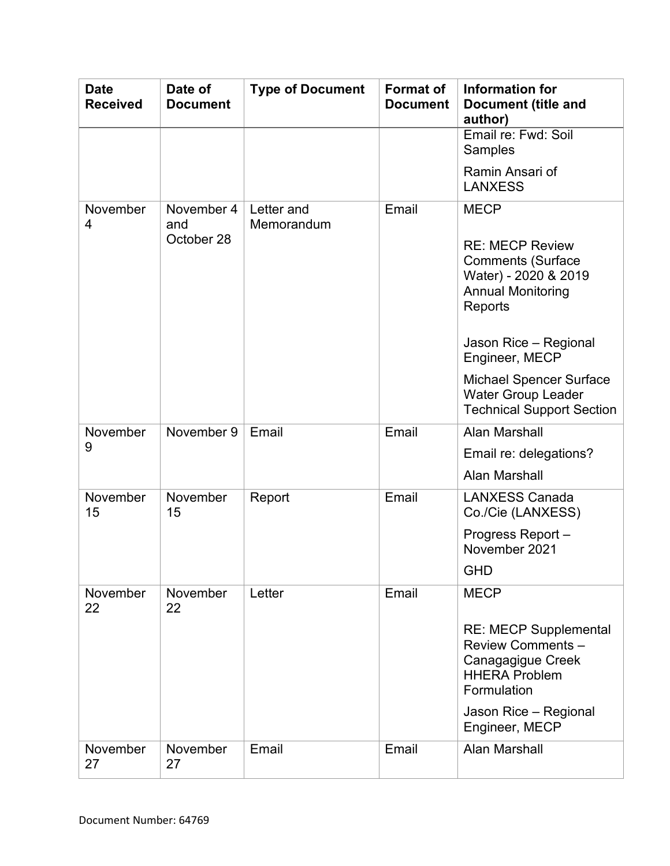| <b>Date</b><br><b>Received</b> | Date of<br><b>Document</b>      | <b>Type of Document</b>  | <b>Format of</b><br><b>Document</b> | Information for<br><b>Document (title and</b><br>author)                                                                                                                                                                                                                       |
|--------------------------------|---------------------------------|--------------------------|-------------------------------------|--------------------------------------------------------------------------------------------------------------------------------------------------------------------------------------------------------------------------------------------------------------------------------|
|                                |                                 |                          |                                     | Email re: Fwd: Soil<br><b>Samples</b>                                                                                                                                                                                                                                          |
|                                |                                 |                          |                                     | Ramin Ansari of<br><b>LANXESS</b>                                                                                                                                                                                                                                              |
| November<br>4                  | November 4<br>and<br>October 28 | Letter and<br>Memorandum | Email                               | <b>MECP</b><br><b>RE: MECP Review</b><br><b>Comments (Surface</b><br>Water) - 2020 & 2019<br><b>Annual Monitoring</b><br>Reports<br>Jason Rice - Regional<br>Engineer, MECP<br><b>Michael Spencer Surface</b><br><b>Water Group Leader</b><br><b>Technical Support Section</b> |
| November<br>9                  | November 9                      | Email                    | Email                               | <b>Alan Marshall</b><br>Email re: delegations?<br><b>Alan Marshall</b>                                                                                                                                                                                                         |
| November<br>15                 | November<br>15                  | Report                   | Email                               | <b>LANXESS Canada</b><br>Co./Cie (LANXESS)<br>Progress Report-<br>November 2021<br><b>GHD</b>                                                                                                                                                                                  |
| November<br>22                 | November<br>22                  | Letter                   | Email                               | <b>MECP</b><br><b>RE: MECP Supplemental</b><br><b>Review Comments -</b><br>Canagagigue Creek<br><b>HHERA Problem</b><br>Formulation<br>Jason Rice - Regional<br>Engineer, MECP                                                                                                 |
| November<br>27                 | November<br>27                  | Email                    | Email                               | <b>Alan Marshall</b>                                                                                                                                                                                                                                                           |